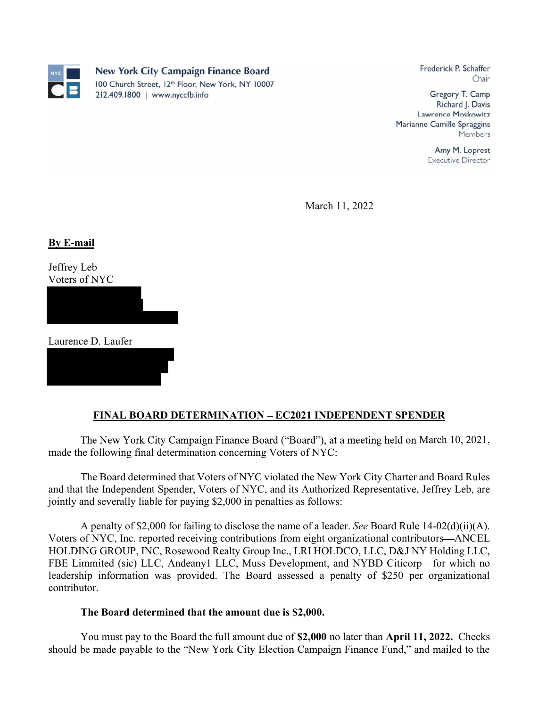

Frederick P. Schaffer Chair

Gregory T. Camp Richard J. Davis Lawrence Moskowitz Marianne Camille Spraggins Members

> Amy M. Loprest **Executive Director**

March 11, 2022

By E-mail Jeffrey Leb Voters of NYC

Laurence D. Laufer

## <u>FINAL BOARD DETERMINATION – EC2021 INDEPENDENT SPENDER</u>

The New York City Campaign Finance Board ("Board"), at a meeting held on March 10, 2021, made the following final determination concerning Voters of NYC:

The Board determined that Voters of NYC violated the New York City Charter and Board Rules and that the Independent Spender, Voters of NYC, and its Authorized Representative, Jeffrey Leb, are jointly and severally liable for paying \$2,000 in penalties as follows:

A penalty of \$2,000 for failing to disclose the name of a leader. See Board Rule  $14-02(d)(ii)(A)$ . Voters of NYC, Inc. reported receiving contributions from eight organizational contributors ANCEL HOLDING GROUP, INC, Rosewood Realty Group Inc., LRI HOLDCO, LLC, D&J NY Holding LLC, FBE Limmited (sic) LLC, Andeany1 LLC, Muss Development, and NYBD Citicorp—for which no leadership information was provided. The Board assessed a penalty of \$250 per organizational contributor.

## The Board determined that the amount due is \$2,000.

You must pay to the Board the full amount due of \$2,000 no later than April 11, 2022. Checks should be made payable to the "New York City Election Campaign Finance Fund," and mailed to the